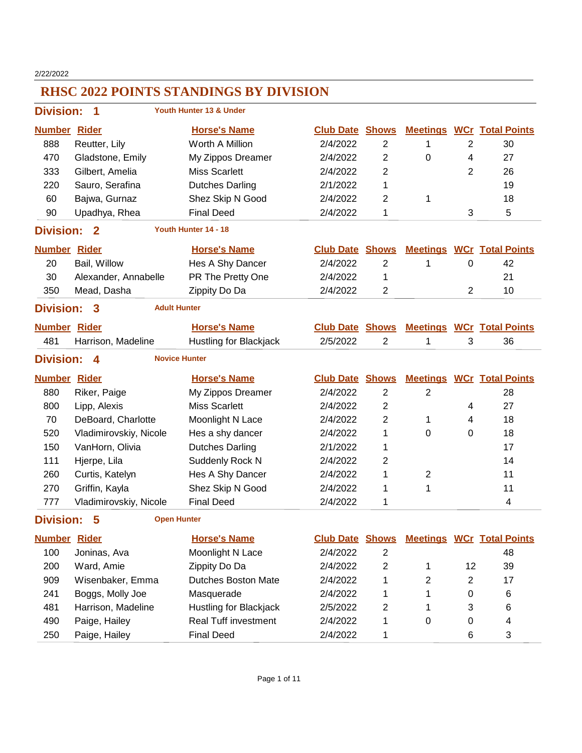2/22/2022

| <b>Division:</b>    | 1                      | Youth Hunter 13 & Under       |                        |                         |                 |                |                                  |
|---------------------|------------------------|-------------------------------|------------------------|-------------------------|-----------------|----------------|----------------------------------|
| <b>Number Rider</b> |                        | <b>Horse's Name</b>           | <b>Club Date</b>       | <b>Shows</b>            | <b>Meetings</b> |                | <b>WCr</b> Total Points          |
| 888                 | Reutter, Lily          | Worth A Million               | 2/4/2022               | $\overline{2}$          | 1               | $\overline{2}$ | 30                               |
| 470                 | Gladstone, Emily       | My Zippos Dreamer             | 2/4/2022               | 2                       | $\mathbf 0$     | 4              | 27                               |
| 333                 | Gilbert, Amelia        | <b>Miss Scarlett</b>          | 2/4/2022               | 2                       |                 | 2              | 26                               |
| 220                 | Sauro, Serafina        | <b>Dutches Darling</b>        | 2/1/2022               | 1                       |                 |                | 19                               |
| 60                  | Bajwa, Gurnaz          | Shez Skip N Good              | 2/4/2022               | $\overline{2}$          | 1               |                | 18                               |
| 90                  | Upadhya, Rhea          | <b>Final Deed</b>             | 2/4/2022               | 1                       |                 | 3              | 5                                |
| <b>Division:</b>    | $\mathbf{2}$           | Youth Hunter 14 - 18          |                        |                         |                 |                |                                  |
| <b>Number Rider</b> |                        | <b>Horse's Name</b>           | <b>Club Date Shows</b> |                         |                 |                | <b>Meetings WCr Total Points</b> |
| 20                  | Bail, Willow           | Hes A Shy Dancer              | 2/4/2022               | 2                       | 1               | 0              | 42                               |
| 30                  | Alexander, Annabelle   | PR The Pretty One             | 2/4/2022               | 1                       |                 |                | 21                               |
| 350                 | Mead, Dasha            | Zippity Do Da                 | 2/4/2022               | $\overline{2}$          |                 | $\overline{2}$ | 10                               |
| <b>Division:</b>    | $\overline{3}$         | <b>Adult Hunter</b>           |                        |                         |                 |                |                                  |
| <b>Number Rider</b> |                        | <b>Horse's Name</b>           | <b>Club Date Shows</b> |                         |                 |                | <b>Meetings WCr Total Points</b> |
| 481                 | Harrison, Madeline     | <b>Hustling for Blackjack</b> | 2/5/2022               | $\overline{2}$          | 1               | 3              | 36                               |
| <b>Division:</b>    | 4                      | <b>Novice Hunter</b>          |                        |                         |                 |                |                                  |
| <b>Number Rider</b> |                        | <b>Horse's Name</b>           | <b>Club Date</b>       | <b>Shows</b>            |                 |                | <b>Meetings WCr Total Points</b> |
| 880                 | Riker, Paige           | My Zippos Dreamer             | 2/4/2022               | $\overline{2}$          | $\overline{2}$  |                | 28                               |
| 800                 | Lipp, Alexis           | <b>Miss Scarlett</b>          | 2/4/2022               | $\overline{2}$          |                 | 4              | 27                               |
| 70                  | DeBoard, Charlotte     | Moonlight N Lace              | 2/4/2022               | $\overline{2}$          | 1               | 4              | 18                               |
| 520                 | Vladimirovskiy, Nicole | Hes a shy dancer              | 2/4/2022               | 1                       | $\mathbf 0$     | 0              | 18                               |
| 150                 | VanHorn, Olivia        | <b>Dutches Darling</b>        | 2/1/2022               | 1                       |                 |                | 17                               |
| 111                 | Hjerpe, Lila           | Suddenly Rock N               | 2/4/2022               | $\overline{2}$          |                 |                | 14                               |
| 260                 | Curtis, Katelyn        | Hes A Shy Dancer              | 2/4/2022               | 1                       | 2               |                | 11                               |
| 270                 | Griffin, Kayla         | Shez Skip N Good              | 2/4/2022               | 1                       | 1               |                | 11                               |
| 777                 | Vladimirovskiy, Nicole | <b>Final Deed</b>             | 2/4/2022               | 1                       |                 |                | 4                                |
| <b>Division:</b>    | 5                      | <b>Open Hunter</b>            |                        |                         |                 |                |                                  |
| <b>Number Rider</b> |                        | <b>Horse's Name</b>           | <b>Club Date Shows</b> |                         |                 |                | <b>Meetings WCr Total Points</b> |
| 100                 | Joninas, Ava           | Moonlight N Lace              | 2/4/2022               | $\overline{\mathbf{c}}$ |                 |                | 48                               |
| 200                 | Ward, Amie             | Zippity Do Da                 | 2/4/2022               | $\boldsymbol{2}$        | 1               | 12             | 39                               |
| 909                 | Wisenbaker, Emma       | <b>Dutches Boston Mate</b>    | 2/4/2022               | 1                       | $\overline{2}$  | $\overline{2}$ | 17                               |
| 241                 | Boggs, Molly Joe       | Masquerade                    | 2/4/2022               | 1                       | 1               | 0              | 6                                |
| 481                 | Harrison, Madeline     | Hustling for Blackjack        | 2/5/2022               | 2                       | 1               | 3              | 6                                |
|                     |                        |                               |                        |                         |                 |                |                                  |
| 490                 | Paige, Hailey          | <b>Real Tuff investment</b>   | 2/4/2022               | 1                       | $\mathbf 0$     | 0              | 4                                |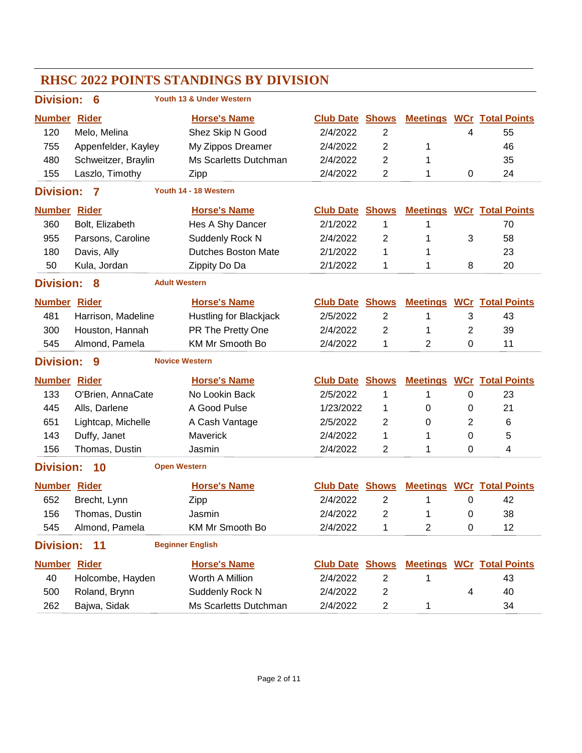| <b>RHSC 2022 POINTS STANDINGS BY DIVISION</b> |                     |                            |                        |                         |                |   |                                  |  |  |  |
|-----------------------------------------------|---------------------|----------------------------|------------------------|-------------------------|----------------|---|----------------------------------|--|--|--|
| <b>Division:</b>                              | 6                   | Youth 13 & Under Western   |                        |                         |                |   |                                  |  |  |  |
| <b>Number</b>                                 | <b>Rider</b>        | <b>Horse's Name</b>        | <b>Club Date Shows</b> |                         |                |   | <b>Meetings WCr Total Points</b> |  |  |  |
| 120                                           | Melo, Melina        | Shez Skip N Good           | 2/4/2022               | $\overline{2}$          |                | 4 | 55                               |  |  |  |
| 755                                           | Appenfelder, Kayley | My Zippos Dreamer          | 2/4/2022               | 2                       | 1              |   | 46                               |  |  |  |
| 480                                           | Schweitzer, Braylin | Ms Scarletts Dutchman      | 2/4/2022               | 2                       | 1              |   | 35                               |  |  |  |
| 155                                           | Laszlo, Timothy     | Zipp                       | 2/4/2022               | 2                       | 1              | 0 | 24                               |  |  |  |
| <b>Division:</b>                              | 7                   | Youth 14 - 18 Western      |                        |                         |                |   |                                  |  |  |  |
| <b>Number</b>                                 | <b>Rider</b>        | <b>Horse's Name</b>        | <b>Club Date</b>       | <b>Shows</b>            |                |   | <b>Meetings WCr Total Points</b> |  |  |  |
| 360                                           | Bolt, Elizabeth     | Hes A Shy Dancer           | 2/1/2022               | 1                       | 1              |   | 70                               |  |  |  |
| 955                                           | Parsons, Caroline   | Suddenly Rock N            | 2/4/2022               | 2                       | 1              | 3 | 58                               |  |  |  |
| 180                                           | Davis, Ally         | <b>Dutches Boston Mate</b> | 2/1/2022               | 1                       | 1              |   | 23                               |  |  |  |
| 50                                            | Kula, Jordan        | Zippity Do Da              | 2/1/2022               | 1                       | 1              | 8 | 20                               |  |  |  |
| <b>Division:</b>                              | 8                   | <b>Adult Western</b>       |                        |                         |                |   |                                  |  |  |  |
| <b>Number</b>                                 | <b>Rider</b>        | <b>Horse's Name</b>        | <b>Club Date</b>       | <b>Shows</b>            |                |   | <b>Meetings WCr Total Points</b> |  |  |  |
| 481                                           | Harrison, Madeline  | Hustling for Blackjack     | 2/5/2022               | $\overline{2}$          | 1              | 3 | 43                               |  |  |  |
| 300                                           | Houston, Hannah     | PR The Pretty One          | 2/4/2022               | 2                       | 1              | 2 | 39                               |  |  |  |
| 545                                           | Almond, Pamela      | KM Mr Smooth Bo            | 2/4/2022               | 1                       | 2              | 0 | 11                               |  |  |  |
| <b>Division:</b>                              | 9                   | <b>Novice Western</b>      |                        |                         |                |   |                                  |  |  |  |
| <b>Number</b>                                 | <b>Rider</b>        | <b>Horse's Name</b>        | <b>Club Date</b>       | <b>Shows</b>            |                |   | <b>Meetings WCr Total Points</b> |  |  |  |
| 133                                           | O'Brien, AnnaCate   | No Lookin Back             | 2/5/2022               | 1                       | 1              | 0 | 23                               |  |  |  |
| 445                                           | Alls, Darlene       | A Good Pulse               | 1/23/2022              | 1                       | 0              | 0 | 21                               |  |  |  |
| 651                                           | Lightcap, Michelle  | A Cash Vantage             | 2/5/2022               | 2                       | $\Omega$       | 2 | 6                                |  |  |  |
| 143                                           | Duffy, Janet        | Maverick                   | 2/4/2022               | 1                       | 1              | 0 | 5                                |  |  |  |
| 156                                           | Thomas, Dustin      | Jasmin                     | 2/4/2022               | 2                       | 1              | 0 | 4                                |  |  |  |
| <b>Division:</b>                              | 10                  | <b>Open Western</b>        |                        |                         |                |   |                                  |  |  |  |
| <b>Number Rider</b>                           |                     | <b>Horse's Name</b>        | <b>Club Date Shows</b> |                         |                |   | <b>Meetings WCr Total Points</b> |  |  |  |
| 652                                           | Brecht, Lynn        | Zipp                       | 2/4/2022               | 2                       | 1              | 0 | 42                               |  |  |  |
| 156                                           | Thomas, Dustin      | Jasmin                     | 2/4/2022               | 2                       | 1              | 0 | 38                               |  |  |  |
| 545                                           | Almond, Pamela      | KM Mr Smooth Bo            | 2/4/2022               | 1                       | $\overline{2}$ | 0 | 12                               |  |  |  |
| <b>Division:</b>                              | 11                  | <b>Beginner English</b>    |                        |                         |                |   |                                  |  |  |  |
| <b>Number Rider</b>                           |                     | <b>Horse's Name</b>        | <b>Club Date Shows</b> |                         |                |   | <b>Meetings WCr Total Points</b> |  |  |  |
| 40                                            | Holcombe, Hayden    | Worth A Million            | 2/4/2022               | $\overline{2}$          | 1              |   | 43                               |  |  |  |
| 500                                           | Roland, Brynn       | Suddenly Rock N            | 2/4/2022               | $\overline{\mathbf{c}}$ |                | 4 | 40                               |  |  |  |
| 262                                           | Bajwa, Sidak        | Ms Scarletts Dutchman      | 2/4/2022               | $\overline{c}$          | 1              |   | 34                               |  |  |  |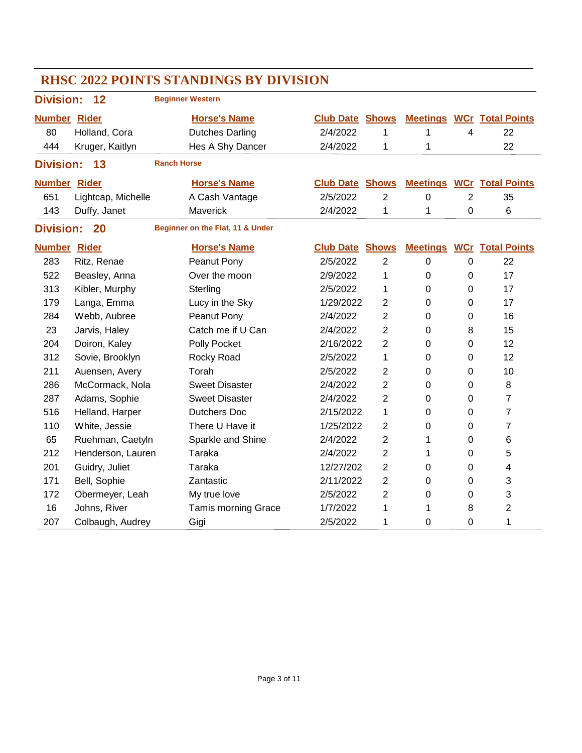| <b>RHSC 2022 POINTS STANDINGS BY DIVISION</b> |                    |                    |                                  |  |                        |                |                  |                |                                  |  |
|-----------------------------------------------|--------------------|--------------------|----------------------------------|--|------------------------|----------------|------------------|----------------|----------------------------------|--|
| <b>Division:</b>                              | 12                 |                    | <b>Beginner Western</b>          |  |                        |                |                  |                |                                  |  |
| <b>Number Rider</b>                           |                    |                    | <b>Horse's Name</b>              |  | <b>Club Date Shows</b> |                |                  |                | <b>Meetings WCr Total Points</b> |  |
| 80                                            | Holland, Cora      |                    | <b>Dutches Darling</b>           |  | 2/4/2022               | 1              | 1                | 4              | 22                               |  |
| 444                                           | Kruger, Kaitlyn    |                    | Hes A Shy Dancer                 |  | 2/4/2022               | 1              | 1                |                | 22                               |  |
| <b>Division:</b><br>13                        |                    | <b>Ranch Horse</b> |                                  |  |                        |                |                  |                |                                  |  |
| <b>Number Rider</b>                           |                    |                    | <b>Horse's Name</b>              |  | <b>Club Date</b>       | <b>Shows</b>   | <b>Meetings</b>  |                | <b>WCr</b> Total Points          |  |
| 651                                           | Lightcap, Michelle |                    | A Cash Vantage                   |  | 2/5/2022               | $\overline{2}$ | $\boldsymbol{0}$ | $\overline{2}$ | 35                               |  |
| 143                                           | Duffy, Janet       |                    | Maverick                         |  | 2/4/2022               | 1              | 1                | 0              | 6                                |  |
| <b>Division:</b>                              | 20                 |                    | Beginner on the Flat, 11 & Under |  |                        |                |                  |                |                                  |  |
| <b>Number Rider</b>                           |                    |                    | <b>Horse's Name</b>              |  | <b>Club Date Shows</b> |                | <b>Meetings</b>  |                | <b>WCr</b> Total Points          |  |
| 283                                           | Ritz, Renae        |                    | Peanut Pony                      |  | 2/5/2022               | $\overline{2}$ | $\mathbf 0$      | 0              | 22                               |  |
| 522                                           | Beasley, Anna      |                    | Over the moon                    |  | 2/9/2022               | 1              | 0                | 0              | 17                               |  |
| 313                                           | Kibler, Murphy     |                    | Sterling                         |  | 2/5/2022               | 1              | $\mathbf 0$      | 0              | 17                               |  |
| 179                                           | Langa, Emma        |                    | Lucy in the Sky                  |  | 1/29/2022              | 2              | 0                | 0              | 17                               |  |
| 284                                           | Webb, Aubree       |                    | Peanut Pony                      |  | 2/4/2022               | $\overline{2}$ | $\mathbf 0$      | 0              | 16                               |  |
| 23                                            | Jarvis, Haley      |                    | Catch me if U Can                |  | 2/4/2022               | $\overline{2}$ | 0                | 8              | 15                               |  |
| 204                                           | Doiron, Kaley      |                    | Polly Pocket                     |  | 2/16/2022              | $\overline{2}$ | $\mathbf 0$      | 0              | 12                               |  |
| 312                                           | Sovie, Brooklyn    |                    | Rocky Road                       |  | 2/5/2022               | 1              | 0                | 0              | 12                               |  |
| 211                                           | Auensen, Avery     |                    | Torah                            |  | 2/5/2022               | $\overline{2}$ | $\mathbf 0$      | 0              | 10                               |  |
| 286                                           | McCormack, Nola    |                    | <b>Sweet Disaster</b>            |  | 2/4/2022               | $\overline{2}$ | 0                | 0              | $\,8\,$                          |  |
| 287                                           | Adams, Sophie      |                    | <b>Sweet Disaster</b>            |  | 2/4/2022               | $\overline{2}$ | $\mathbf 0$      | 0              | $\overline{7}$                   |  |
| 516                                           | Helland, Harper    |                    | <b>Dutchers Doc</b>              |  | 2/15/2022              | 1              | 0                | 0              | $\overline{7}$                   |  |
| 110                                           | White, Jessie      |                    | There U Have it                  |  | 1/25/2022              | $\overline{2}$ | 0                | 0              | $\overline{7}$                   |  |
| 65                                            | Ruehman, Caetyln   |                    | Sparkle and Shine                |  | 2/4/2022               | $\overline{2}$ | 1                | 0              | 6                                |  |
| 212                                           | Henderson, Lauren  |                    | <b>Taraka</b>                    |  | 2/4/2022               | $\overline{2}$ | 1                | 0              | 5                                |  |
| 201                                           | Guidry, Juliet     |                    | Taraka                           |  | 12/27/202              | $\overline{2}$ | 0                | 0              | 4                                |  |
| 171                                           | Bell, Sophie       |                    | Zantastic                        |  | 2/11/2022              | $\overline{2}$ | 0                | 0              | 3                                |  |
| 172                                           | Obermeyer, Leah    |                    | My true love                     |  | 2/5/2022               | $\overline{2}$ | 0                | 0              | 3                                |  |
| 16                                            | Johns, River       |                    | <b>Tamis morning Grace</b>       |  | 1/7/2022               | 1              | 1                | 8              | 2                                |  |
| 207                                           | Colbaugh, Audrey   |                    | Gigi                             |  | 2/5/2022               | 1              | 0                | $\mathbf 0$    | 1                                |  |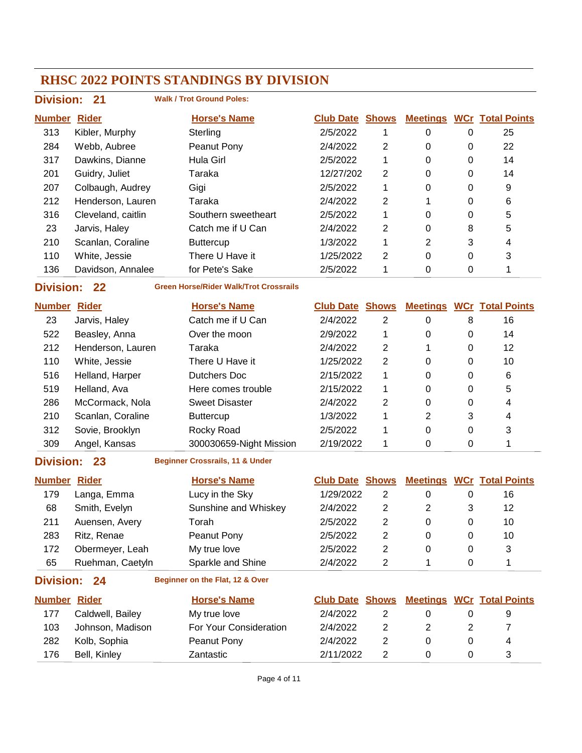| <b>Division: 21</b> |  |
|---------------------|--|
|                     |  |

#### **Walk / Trot Ground Poles:**

| <b>Number</b> | <b>Rider</b>       | <b>Horse's Name</b> | <b>Club Date</b> | <b>Shows</b>   | <b>Meetings</b> |   | <b>WCr</b> Total Points |
|---------------|--------------------|---------------------|------------------|----------------|-----------------|---|-------------------------|
| 313           | Kibler, Murphy     | Sterling            | 2/5/2022         |                | 0               | 0 | 25                      |
| 284           | Webb, Aubree       | Peanut Pony         | 2/4/2022         | 2              | 0               | 0 | 22                      |
| 317           | Dawkins, Dianne    | Hula Girl           | 2/5/2022         | 1              | 0               | 0 | 14                      |
| 201           | Guidry, Juliet     | Taraka              | 12/27/202        | 2              | 0               | 0 | 14                      |
| 207           | Colbaugh, Audrey   | Gigi                | 2/5/2022         | 1              | 0               | 0 | 9                       |
| 212           | Henderson, Lauren  | Taraka              | 2/4/2022         | 2              |                 | 0 | 6                       |
| 316           | Cleveland, caitlin | Southern sweetheart | 2/5/2022         |                | 0               | 0 | 5                       |
| 23            | Jarvis, Haley      | Catch me if U Can   | 2/4/2022         | 2              | 0               | 8 | 5                       |
| 210           | Scanlan, Coraline  | <b>Buttercup</b>    | 1/3/2022         |                | 2               | 3 | 4                       |
| 110           | White, Jessie      | There U Have it     | 1/25/2022        | $\overline{2}$ | 0               | 0 | 3                       |
| 136           | Davidson, Annalee  | for Pete's Sake     | 2/5/2022         |                | 0               | 0 |                         |

**Division: 22**

**Green Horse/Rider Walk/Trot Crossrails**

| <b>Number</b> | <b>Rider</b>      | <b>Horse's Name</b>     | <b>Club Date Shows</b> |   |   |   | <b>Meetings WCr Total Points</b> |
|---------------|-------------------|-------------------------|------------------------|---|---|---|----------------------------------|
| 23            | Jarvis, Haley     | Catch me if U Can       | 2/4/2022               | 2 | 0 | 8 | 16                               |
| 522           | Beasley, Anna     | Over the moon           | 2/9/2022               |   | 0 | 0 | 14                               |
| 212           | Henderson, Lauren | Taraka                  | 2/4/2022               | 2 |   | 0 | 12                               |
| 110           | White, Jessie     | There U Have it         | 1/25/2022              | 2 | 0 | 0 | 10                               |
| 516           | Helland, Harper   | Dutchers Doc            | 2/15/2022              | 1 | 0 | 0 | 6                                |
| 519           | Helland, Ava      | Here comes trouble      | 2/15/2022              | 1 | 0 | 0 | 5                                |
| 286           | McCormack, Nola   | <b>Sweet Disaster</b>   | 2/4/2022               | 2 | 0 | 0 | 4                                |
| 210           | Scanlan, Coraline | <b>Buttercup</b>        | 1/3/2022               |   | 2 | 3 | 4                                |
| 312           | Sovie, Brooklyn   | Rocky Road              | 2/5/2022               |   | 0 | 0 | 3                                |
| 309           | Angel, Kansas     | 300030659-Night Mission | 2/19/2022              |   | 0 | 0 |                                  |

### **Division: 23**

**Beginner Crossrails, 11 & Under**

| <b>Number</b>    | <b>Rider</b>     | <b>Horse's Name</b>             | <b>Club Date Shows</b> |   |   |   | <b>Meetings WCr Total Points</b> |
|------------------|------------------|---------------------------------|------------------------|---|---|---|----------------------------------|
| 179              | Langa, Emma      | Lucy in the Sky                 | 1/29/2022              | 2 | 0 | 0 | 16                               |
| 68               | Smith, Evelyn    | Sunshine and Whiskey            | 2/4/2022               | 2 | 2 | 3 | 12                               |
| 211              | Auensen, Avery   | Torah                           | 2/5/2022               | 2 | 0 | 0 | 10                               |
| 283              | Ritz, Renae      | Peanut Pony                     | 2/5/2022               | 2 | 0 | 0 | 10                               |
| 172              | Obermeyer, Leah  | My true love                    | 2/5/2022               | 2 | 0 | 0 | 3                                |
| 65               | Ruehman, Caetyln | Sparkle and Shine               | 2/4/2022               | 2 |   | 0 |                                  |
| <b>Division:</b> | 24               | Beginner on the Flat, 12 & Over |                        |   |   |   |                                  |

| <b>Number Rider</b> |                  | <b>Horse's Name</b>    |           |  | <b>Club Date Shows Meetings WCr Total Points</b> |
|---------------------|------------------|------------------------|-----------|--|--------------------------------------------------|
| 177                 | Caldwell, Bailey | My true love           | 2/4/2022  |  |                                                  |
| 103                 | Johnson, Madison | For Your Consideration | 2/4/2022  |  |                                                  |
| 282                 | Kolb, Sophia     | Peanut Pony            | 2/4/2022  |  |                                                  |
| 176                 | Bell, Kinley     | Zantastic              | 2/11/2022 |  |                                                  |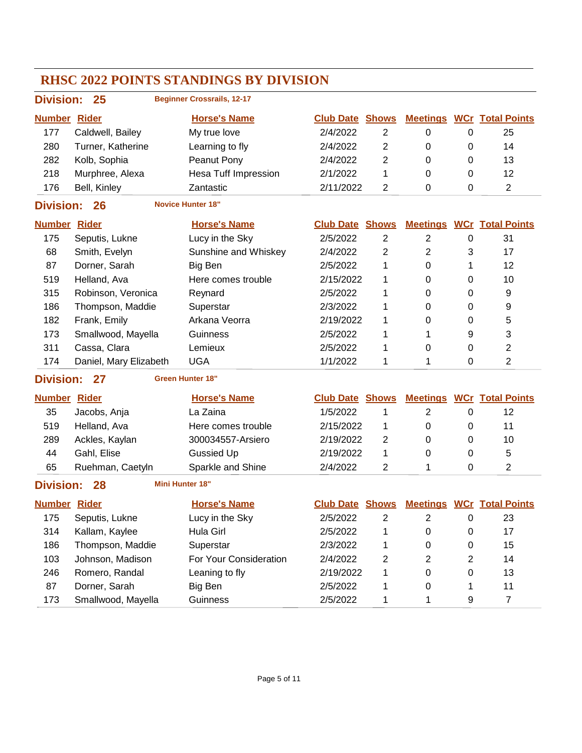| RHSC 2022 POINTS STANDINGS BY DIVISION |                        |                                   |                        |                |                |              |                                  |  |  |  |
|----------------------------------------|------------------------|-----------------------------------|------------------------|----------------|----------------|--------------|----------------------------------|--|--|--|
| <b>Division:</b>                       | 25                     | <b>Beginner Crossrails, 12-17</b> |                        |                |                |              |                                  |  |  |  |
| <b>Number Rider</b>                    |                        | <b>Horse's Name</b>               | <b>Club Date Shows</b> |                |                |              | <b>Meetings WCr Total Points</b> |  |  |  |
| 177                                    | Caldwell, Bailey       | My true love                      | 2/4/2022               | $\overline{2}$ | 0              | 0            | 25                               |  |  |  |
| 280                                    | Turner, Katherine      | Learning to fly                   | 2/4/2022               | $\overline{2}$ | 0              | 0            | 14                               |  |  |  |
| 282                                    | Kolb, Sophia           | Peanut Pony                       | 2/4/2022               | $\overline{2}$ | 0              | 0            | 13                               |  |  |  |
| 218                                    | Murphree, Alexa        | <b>Hesa Tuff Impression</b>       | 2/1/2022               | 1              | 0              | 0            | 12                               |  |  |  |
| 176                                    | Bell, Kinley           | Zantastic                         | 2/11/2022              | $\overline{2}$ | 0              | 0            | 2                                |  |  |  |
| <b>Division:</b>                       | 26                     | <b>Novice Hunter 18"</b>          |                        |                |                |              |                                  |  |  |  |
| <b>Number Rider</b>                    |                        | <b>Horse's Name</b>               | <b>Club Date Shows</b> |                |                |              | <b>Meetings WCr Total Points</b> |  |  |  |
| 175                                    | Seputis, Lukne         | Lucy in the Sky                   | 2/5/2022               | $\overline{2}$ | $\overline{2}$ | 0            | 31                               |  |  |  |
| 68                                     | Smith, Evelyn          | Sunshine and Whiskey              | 2/4/2022               | $\overline{2}$ | $\overline{2}$ | 3            | 17                               |  |  |  |
| 87                                     | Dorner, Sarah          | Big Ben                           | 2/5/2022               | 1              | 0              | 1            | 12                               |  |  |  |
| 519                                    | Helland, Ava           | Here comes trouble                | 2/15/2022              | 1              | 0              | 0            | 10                               |  |  |  |
| 315                                    | Robinson, Veronica     | Reynard                           | 2/5/2022               | 1              | 0              | 0            | 9                                |  |  |  |
| 186                                    | Thompson, Maddie       | Superstar                         | 2/3/2022               | 1              | 0              | $\Omega$     | 9                                |  |  |  |
| 182                                    | Frank, Emily           | Arkana Veorra                     | 2/19/2022              | 1              | 0              | 0            | 5                                |  |  |  |
| 173                                    | Smallwood, Mayella     | Guinness                          | 2/5/2022               | 1              | 1              | 9            | 3                                |  |  |  |
| 311                                    | Cassa, Clara           | Lemieux                           | 2/5/2022               | 1              | 0              | 0            | 2                                |  |  |  |
| 174                                    | Daniel, Mary Elizabeth | <b>UGA</b>                        | 1/1/2022               | 1              | 1              | 0            | 2                                |  |  |  |
| <b>Division:</b>                       | 27                     | <b>Green Hunter 18"</b>           |                        |                |                |              |                                  |  |  |  |
| <b>Number Rider</b>                    |                        | <b>Horse's Name</b>               | <b>Club Date Shows</b> |                |                |              | <b>Meetings WCr Total Points</b> |  |  |  |
| 35                                     | Jacobs, Anja           | La Zaina                          | 1/5/2022               | 1              | $\overline{2}$ | 0            | 12                               |  |  |  |
| 519                                    | Helland, Ava           | Here comes trouble                | 2/15/2022              | 1              | 0              | 0            | 11                               |  |  |  |
| 289                                    | Ackles, Kaylan         | 300034557-Arsiero                 | 2/19/2022              | 2              | 0              | 0            | 10                               |  |  |  |
| 44                                     | Gahl, Elise            | <b>Gussied Up</b>                 | 2/19/2022              | 1              | 0              | 0            | 5                                |  |  |  |
| 65                                     | Ruehman, Caetyln       | Sparkle and Shine                 | 2/4/2022               | $\overline{2}$ | 1              | 0            | 2                                |  |  |  |
| <b>Division:</b>                       | 28                     | <b>Mini Hunter 18"</b>            |                        |                |                |              |                                  |  |  |  |
| <b>Number</b>                          | <b>Rider</b>           | <b>Horse's Name</b>               | <b>Club Date Shows</b> |                |                |              | <b>Meetings WCr Total Points</b> |  |  |  |
| 175                                    | Seputis, Lukne         | Lucy in the Sky                   | 2/5/2022               | $\overline{2}$ | $\overline{2}$ | 0            | 23                               |  |  |  |
| 314                                    | Kallam, Kaylee         | Hula Girl                         | 2/5/2022               | 1              | 0              | 0            | 17                               |  |  |  |
| 186                                    | Thompson, Maddie       | Superstar                         | 2/3/2022               | 1              | 0              | 0            | 15                               |  |  |  |
| 103                                    | Johnson, Madison       | For Your Consideration            | 2/4/2022               | 2              | $\overline{2}$ | $\mathbf{2}$ | 14                               |  |  |  |
| 246                                    | Romero, Randal         | Leaning to fly                    | 2/19/2022              | 1              | 0              | 0            | 13                               |  |  |  |
| 87                                     | Dorner, Sarah          | Big Ben                           | 2/5/2022               | 1              | 0              | 1            | 11                               |  |  |  |
| 173                                    | Smallwood, Mayella     | Guinness                          | 2/5/2022               | 1              | 1              | 9            | $\overline{7}$                   |  |  |  |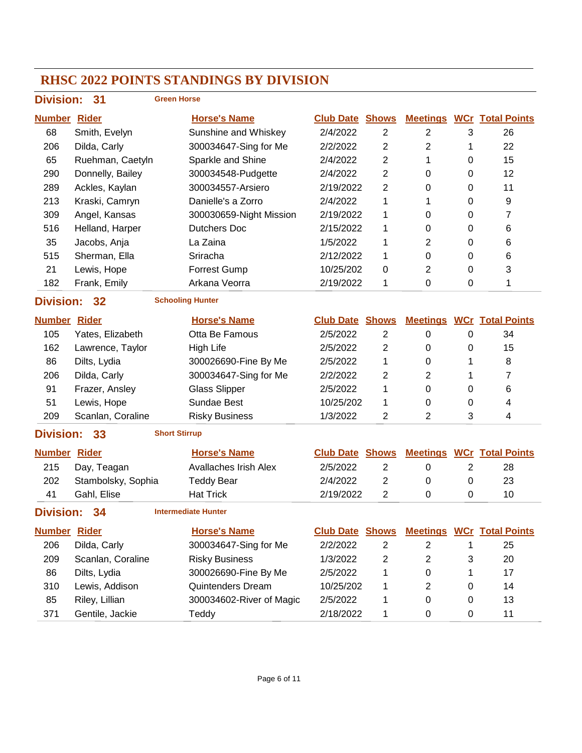| <b>Division:</b>    | 31                 | <b>Green Horse</b>           |                        |                |                  |                  |                                  |
|---------------------|--------------------|------------------------------|------------------------|----------------|------------------|------------------|----------------------------------|
| <b>Number Rider</b> |                    | <b>Horse's Name</b>          | <b>Club Date Shows</b> |                |                  |                  | <b>Meetings WCr Total Points</b> |
| 68                  | Smith, Evelyn      | Sunshine and Whiskey         | 2/4/2022               | $\overline{2}$ | $\overline{2}$   | 3                | 26                               |
| 206                 | Dilda, Carly       | 300034647-Sing for Me        | 2/2/2022               | 2              | $\overline{2}$   | 1                | 22                               |
| 65                  | Ruehman, Caetyln   | Sparkle and Shine            | 2/4/2022               | 2              | 1                | 0                | 15                               |
| 290                 | Donnelly, Bailey   | 300034548-Pudgette           | 2/4/2022               | 2              | 0                | 0                | 12                               |
| 289                 | Ackles, Kaylan     | 300034557-Arsiero            | 2/19/2022              | $\overline{2}$ | 0                | 0                | 11                               |
| 213                 | Kraski, Camryn     | Danielle's a Zorro           | 2/4/2022               | 1              | 1                | 0                | 9                                |
| 309                 | Angel, Kansas      | 300030659-Night Mission      | 2/19/2022              | 1              | 0                | 0                | 7                                |
| 516                 | Helland, Harper    | <b>Dutchers Doc</b>          | 2/15/2022              | 1              | 0                | 0                | 6                                |
| 35                  | Jacobs, Anja       | La Zaina                     | 1/5/2022               | 1              | $\overline{2}$   | 0                | 6                                |
| 515                 | Sherman, Ella      | Sriracha                     | 2/12/2022              | 1              | 0                | 0                | 6                                |
| 21                  | Lewis, Hope        | <b>Forrest Gump</b>          | 10/25/202              | 0              | $\overline{2}$   | $\mathbf 0$      | 3                                |
| 182                 | Frank, Emily       | Arkana Veorra                | 2/19/2022              | 1              | 0                | 0                | 1                                |
| <b>Division:</b>    | 32                 | <b>Schooling Hunter</b>      |                        |                |                  |                  |                                  |
| <b>Number Rider</b> |                    | <b>Horse's Name</b>          | <b>Club Date</b>       | <b>Shows</b>   |                  |                  | <b>Meetings WCr Total Points</b> |
| 105                 | Yates, Elizabeth   | Otta Be Famous               | 2/5/2022               | $\overline{2}$ | $\pmb{0}$        | $\boldsymbol{0}$ | 34                               |
| 162                 | Lawrence, Taylor   | <b>High Life</b>             | 2/5/2022               | $\overline{2}$ | 0                | 0                | 15                               |
| 86                  | Dilts, Lydia       | 300026690-Fine By Me         | 2/5/2022               | 1              | 0                | 1                | 8                                |
| 206                 | Dilda, Carly       | 300034647-Sing for Me        | 2/2/2022               | 2              | $\overline{2}$   | 1                | 7                                |
| 91                  | Frazer, Ansley     | <b>Glass Slipper</b>         | 2/5/2022               | 1              | 0                | 0                | 6                                |
| 51                  | Lewis, Hope        | Sundae Best                  | 10/25/202              | 1              | 0                | 0                | 4                                |
| 209                 | Scanlan, Coraline  | <b>Risky Business</b>        | 1/3/2022               | 2              | $\overline{2}$   | 3                | 4                                |
| <b>Division:</b>    | 33                 | <b>Short Stirrup</b>         |                        |                |                  |                  |                                  |
| <b>Number Rider</b> |                    | <b>Horse's Name</b>          | <b>Club Date Shows</b> |                |                  |                  | <b>Meetings WCr Total Points</b> |
| 215                 | Day, Teagan        | <b>Avallaches Irish Alex</b> | 2/5/2022               | $\overline{c}$ | 0                | $\overline{2}$   | 28                               |
| 202                 | Stambolsky, Sophia | <b>Teddy Bear</b>            | 2/4/2022               | 2              | 0                | $\mathbf 0$      | 23                               |
| 41                  | Gahl, Elise        | <b>Hat Trick</b>             | 2/19/2022              | 2              | $\boldsymbol{0}$ | $\boldsymbol{0}$ | 10                               |
| <b>Division:</b>    | 34                 | <b>Intermediate Hunter</b>   |                        |                |                  |                  |                                  |
| <b>Number Rider</b> |                    | <b>Horse's Name</b>          | <b>Club Date Shows</b> |                |                  |                  | <b>Meetings WCr Total Points</b> |
| 206                 | Dilda, Carly       | 300034647-Sing for Me        | 2/2/2022               | $\overline{c}$ | $\overline{2}$   | 1                | 25                               |
| 209                 | Scanlan, Coraline  | <b>Risky Business</b>        | 1/3/2022               | 2              | $\overline{2}$   | 3                | 20                               |
| 86                  | Dilts, Lydia       | 300026690-Fine By Me         | 2/5/2022               | 1              | 0                | 1                | 17                               |
| 310                 | Lewis, Addison     | Quintenders Dream            | 10/25/202              | 1              | $\overline{2}$   | 0                | 14                               |
| 85                  | Riley, Lillian     | 300034602-River of Magic     | 2/5/2022               | 1              | 0                | 0                | 13                               |
| 371                 | Gentile, Jackie    | Teddy                        | 2/18/2022              | 1              | 0                | 0                | 11                               |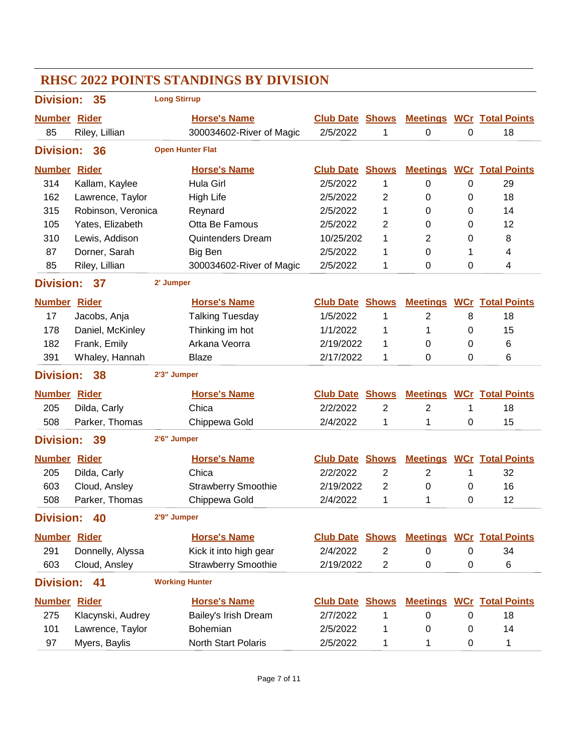| <b>Division:</b>    | 35                            | <b>Long Stirrup</b>   |                            |                        |                |                |   |                                  |
|---------------------|-------------------------------|-----------------------|----------------------------|------------------------|----------------|----------------|---|----------------------------------|
| <b>Number</b>       | Rider                         |                       | <b>Horse's Name</b>        | <b>Club Date Shows</b> |                |                |   | <b>Meetings WCr Total Points</b> |
| 85                  | Riley, Lillian                |                       | 300034602-River of Magic   | 2/5/2022               | 1              | 0              | 0 | 18                               |
| <b>Division:</b>    | 36                            |                       | <b>Open Hunter Flat</b>    |                        |                |                |   |                                  |
| <b>Number</b>       | <b>Rider</b>                  |                       | <b>Horse's Name</b>        | <b>Club Date Shows</b> |                |                |   | <b>Meetings WCr Total Points</b> |
| 314                 | Kallam, Kaylee                |                       | Hula Girl                  | 2/5/2022               | 1              | 0              | 0 | 29                               |
| 162                 | Lawrence, Taylor              |                       | <b>High Life</b>           | 2/5/2022               | 2              | 0              | 0 | 18                               |
| 315                 | Robinson, Veronica            |                       | Reynard                    | 2/5/2022               | 1              | 0              | 0 | 14                               |
| 105                 | Yates, Elizabeth              |                       | Otta Be Famous             | 2/5/2022               | $\overline{2}$ | 0              | 0 | 12                               |
| 310                 | Lewis, Addison                |                       | <b>Quintenders Dream</b>   | 10/25/202              | 1              | 2              | 0 | 8                                |
| 87                  | Dorner, Sarah                 |                       | Big Ben                    | 2/5/2022               | 1              | 0              | 1 | 4                                |
| 85                  | Riley, Lillian                |                       | 300034602-River of Magic   | 2/5/2022               | 1              | 0              | 0 | 4                                |
| <b>Division:</b>    | 37                            | 2' Jumper             |                            |                        |                |                |   |                                  |
| <b>Number</b>       | <b>Rider</b>                  |                       | <b>Horse's Name</b>        | <b>Club Date Shows</b> |                |                |   | <b>Meetings WCr Total Points</b> |
| 17                  | Jacobs, Anja                  |                       | <b>Talking Tuesday</b>     | 1/5/2022               | 1              | $\overline{2}$ | 8 | 18                               |
| 178                 | Daniel, McKinley              |                       | Thinking im hot            | 1/1/2022               | 1              | 1              | 0 | 15                               |
| 182                 | Frank, Emily                  |                       | Arkana Veorra              | 2/19/2022              | 1              | 0              | 0 | 6                                |
| 391                 | Whaley, Hannah                |                       | Blaze                      | 2/17/2022              | 1              | 0              | 0 | 6                                |
| <b>Division:</b>    | 38                            | 2'3" Jumper           |                            |                        |                |                |   |                                  |
|                     |                               |                       |                            |                        |                |                |   |                                  |
| <b>Number Rider</b> |                               |                       | <b>Horse's Name</b>        | <b>Club Date Shows</b> |                |                |   | <b>Meetings WCr Total Points</b> |
| 205                 | Dilda, Carly                  |                       | Chica                      | 2/2/2022               | 2              | $\mathbf{2}$   | 1 | 18                               |
| 508                 | Parker, Thomas                |                       | Chippewa Gold              | 2/4/2022               | 1              | 1              | 0 | 15                               |
| <b>Division:</b>    | 39                            | 2'6" Jumper           |                            |                        |                |                |   |                                  |
| <b>Number</b>       | <b>Rider</b>                  |                       | <b>Horse's Name</b>        | <b>Club Date Shows</b> |                |                |   | <b>Meetings WCr Total Points</b> |
| 205                 |                               |                       | Chica                      | 2/2/2022               | 2              | $\overline{2}$ | 1 | 32                               |
| 603                 | Dilda, Carly<br>Cloud, Ansley |                       | <b>Strawberry Smoothie</b> | 2/19/2022              | 2              | 0              | 0 | 16                               |
| 508                 | Parker, Thomas                |                       | Chippewa Gold              | 2/4/2022               | 1              | 1              | 0 | 12                               |
| <b>Division:</b>    | 40                            | 2'9" Jumper           |                            |                        |                |                |   |                                  |
| <b>Number Rider</b> |                               |                       | <b>Horse's Name</b>        | <b>Club Date Shows</b> |                |                |   | <b>Meetings WCr Total Points</b> |
| 291                 | Donnelly, Alyssa              |                       | Kick it into high gear     | 2/4/2022               | 2              | 0              | 0 | 34                               |
| 603                 | Cloud, Ansley                 |                       | <b>Strawberry Smoothie</b> | 2/19/2022              | $\overline{c}$ | 0              | 0 | 6                                |
| <b>Division:</b>    | 41                            | <b>Working Hunter</b> |                            |                        |                |                |   |                                  |
| <b>Number</b>       | <b>Rider</b>                  |                       | <b>Horse's Name</b>        | <b>Club Date Shows</b> |                |                |   | <b>Meetings WCr Total Points</b> |
| 275                 | Klacynski, Audrey             |                       | Bailey's Irish Dream       | 2/7/2022               | 1              | 0              | 0 | 18                               |
| 101                 | Lawrence, Taylor              |                       | Bohemian                   | 2/5/2022               | 1              | 0              | 0 | 14                               |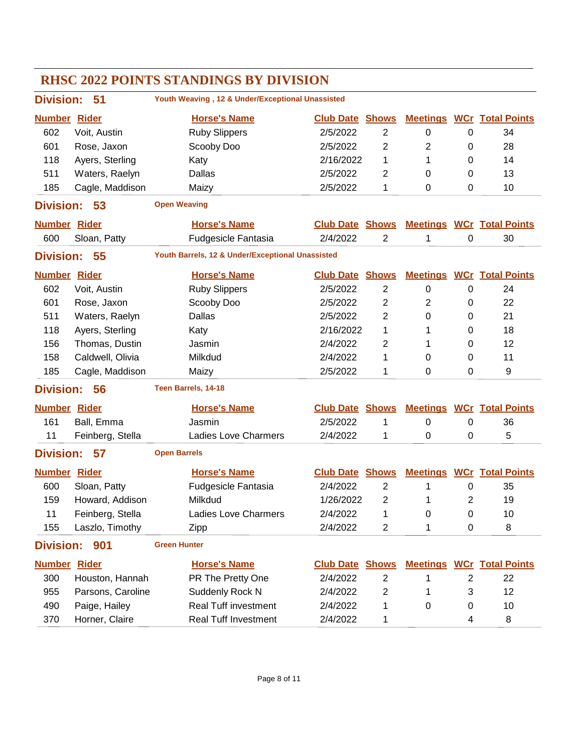| <b>Division:</b>    | 51                | Youth Weaving, 12 & Under/Exceptional Unassisted |                        |                |                  |                |                                  |
|---------------------|-------------------|--------------------------------------------------|------------------------|----------------|------------------|----------------|----------------------------------|
| <b>Number</b>       | <b>Rider</b>      | <b>Horse's Name</b>                              | <b>Club Date Shows</b> |                | <b>Meetings</b>  |                | <b>WCr</b> Total Points          |
| 602                 | Voit, Austin      | <b>Ruby Slippers</b>                             | 2/5/2022               | 2              | 0                | 0              | 34                               |
| 601                 | Rose, Jaxon       | Scooby Doo                                       | 2/5/2022               | $\overline{2}$ | 2                | 0              | 28                               |
| 118                 | Ayers, Sterling   | Katy                                             | 2/16/2022              | 1              | 1                | 0              | 14                               |
| 511                 | Waters, Raelyn    | Dallas                                           | 2/5/2022               | 2              | 0                | 0              | 13                               |
| 185                 | Cagle, Maddison   | Maizy                                            | 2/5/2022               | 1              | 0                | 0              | 10                               |
| <b>Division:</b>    | 53                | <b>Open Weaving</b>                              |                        |                |                  |                |                                  |
| <b>Number Rider</b> |                   | <b>Horse's Name</b>                              | <b>Club Date Shows</b> |                |                  |                | <b>Meetings WCr Total Points</b> |
| 600                 | Sloan, Patty      | <b>Fudgesicle Fantasia</b>                       | 2/4/2022               | $\overline{2}$ | 1                | 0              | 30                               |
| <b>Division:</b>    | 55                | Youth Barrels, 12 & Under/Exceptional Unassisted |                        |                |                  |                |                                  |
| <b>Number</b>       | <b>Rider</b>      | <b>Horse's Name</b>                              | <b>Club Date Shows</b> |                |                  |                | <b>Meetings WCr Total Points</b> |
| 602                 | Voit, Austin      | <b>Ruby Slippers</b>                             | 2/5/2022               | $\overline{2}$ | $\boldsymbol{0}$ | 0              | 24                               |
| 601                 | Rose, Jaxon       | Scooby Doo                                       | 2/5/2022               | $\overline{c}$ | 2                | 0              | 22                               |
| 511                 | Waters, Raelyn    | Dallas                                           | 2/5/2022               | 2              | 0                | 0              | 21                               |
| 118                 | Ayers, Sterling   | Katy                                             | 2/16/2022              | 1              | 1                | 0              | 18                               |
| 156                 | Thomas, Dustin    | Jasmin                                           | 2/4/2022               | $\overline{2}$ | 1                | 0              | 12                               |
| 158                 | Caldwell, Olivia  | Milkdud                                          | 2/4/2022               | 1              | 0                | 0              | 11                               |
| 185                 | Cagle, Maddison   | Maizy                                            | 2/5/2022               | 1              | 0                | 0              | 9                                |
| <b>Division:</b>    | 56                | Teen Barrels, 14-18                              |                        |                |                  |                |                                  |
| <b>Number Rider</b> |                   | <b>Horse's Name</b>                              | <b>Club Date Shows</b> |                | <b>Meetings</b>  |                | <b>WCr</b> Total Points          |
| 161                 | Ball, Emma        | Jasmin                                           | 2/5/2022               | 1              | 0                | 0              | 36                               |
| 11                  | Feinberg, Stella  | <b>Ladies Love Charmers</b>                      | 2/4/2022               | 1              | 0                | 0              | 5                                |
| <b>Division:</b>    | 57                | <b>Open Barrels</b>                              |                        |                |                  |                |                                  |
| <b>Number Rider</b> |                   | <b>Horse's Name</b>                              | <b>Club Date Shows</b> |                |                  |                | <b>Meetings WCr Total Points</b> |
| 600                 | Sloan, Patty      | <b>Fudgesicle Fantasia</b>                       | 2/4/2022               | 2              | 1                | 0              | 35                               |
| 159                 | Howard, Addison   | Milkdud                                          | 1/26/2022              | 2              | 1                | $\overline{2}$ | 19                               |
| 11                  | Feinberg, Stella  | Ladies Love Charmers                             | 2/4/2022               | 1              | 0                | 0              | 10                               |
| 155                 | Laszlo, Timothy   | Zipp                                             | 2/4/2022               | 2              | 1                | 0              | 8                                |
| <b>Division:</b>    | 901               | <b>Green Hunter</b>                              |                        |                |                  |                |                                  |
| <b>Number Rider</b> |                   | <b>Horse's Name</b>                              | <b>Club Date Shows</b> |                |                  |                | <b>Meetings WCr Total Points</b> |
| 300                 | Houston, Hannah   | PR The Pretty One                                | 2/4/2022               | $\overline{c}$ | 1                | $\overline{2}$ | 22                               |
| 955                 | Parsons, Caroline | Suddenly Rock N                                  | 2/4/2022               | $\overline{c}$ | 1                | 3              | 12                               |
| 490                 | Paige, Hailey     | <b>Real Tuff investment</b>                      | 2/4/2022               | 1              | 0                | 0              | 10                               |
| 370                 | Horner, Claire    | Real Tuff Investment                             | 2/4/2022               | 1              |                  | 4              | 8                                |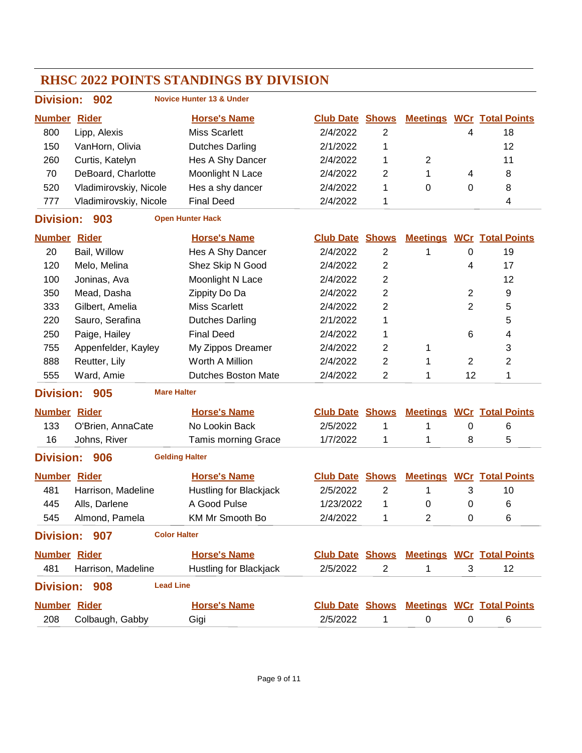#### **RHSC 2022 POINTS STANDINGS BY DIVISION Division: 902 Number Rider Horse's Name Club Date Total Points Shows Meetings WCr Novice Hunter 13 & Under** 800 Lipp, Alexis Miss Scarlett 2/4/2022 2 4 18 150 VanHorn, Olivia Dutches Darling 2/1/2022 1 12 260 Curtis, Katelyn Hes A Shy Dancer 2/4/2022 1 2 11 70 DeBoard, Charlotte Moonlight N Lace  $2/4/2022$  2 1 4 8 520 Vladimirovskiv, Nicole Hes a shy dancer and 2/4/2022 1 0 0 8 777 Vladimirovskiy, Nicole Final Deed 2/4/2022 1 2014 **Division: 903 Number Rider Horse's Name Club Date Total Points Shows Meetings WCr Open Hunter Hack** 20 Bail, Willow Hes A Shy Dancer 2/4/2022 2 1 0 19 120 Melo, Melina Shez Skip N Good 2/4/2022 2 4 17 100 Joninas, Ava **Moonlight N Lace** 2/4/2022 2 12 350 Mead, Dasha Zippity Do Da 2/4/2022 2 2 9 333 Gilbert, Amelia Miss Scarlett 2/4/2022 2 2 2 5 220 Sauro, Serafina Dutches Darling 2/1/2022 1 5 250 Paige, Hailey Final Deed 2/4/2022 1 6 4 755 Appenfelder, Kayley My Zippos Dreamer 2/4/2022 2 1 3 888 Reutter, Lily **Worth A Million** 2/4/2022 2 1 2 2 555 Ward, Amie Dutches Boston Mate 2/4/2022 2 12 1 **Division: 905 Number Rider Horse's Name Club Date Total Points Shows Meetings WCr Mare Halter** 133 O'Brien, AnnaCate No Lookin Back 2/5/2022 1 1 0 6 16 Johns, River Tamis morning Grace 1/7/2022 1 1 8 5 **Division: 906 Number Rider Horse's Name Club Date Total Points Shows Meetings WCr Gelding Halter** 481 Harrison, Madeline Hustling for Blackjack 2/5/2022 2 1 3 10 445 Alls, Darlene A Good Pulse 1/23/2022 1 0 0 6 545 Almond, Pamela KM Mr Smooth Bo  $2/4/2022$  1 2 0 6 **Division: 907 Number Rider Horse's Name Club Date Total Points Shows Meetings WCr Color Halter** 481 Harrison, Madeline Hustling for Blackjack 2/5/2022 2 1 3 12 **Division: 908 Number Rider Horse's Name Club Date Total Points Shows Meetings WCr Lead Line** 208 Colbaugh, Gabby Gigi 2/5/2022 1 0 0 6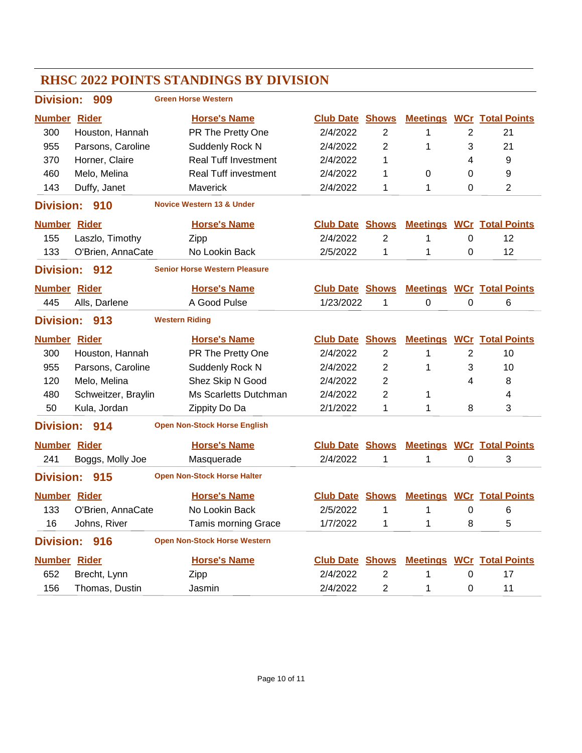#### **RHSC 2022 POINTS STANDINGS BY DIVISION Division: 909 Number Rider Horse's Name Club Date Total Points Shows Meetings WCr Green Horse Western** 300 Houston, Hannah PR The Pretty One 2/4/2022 2 1 2 21 955 Parsons, Caroline Suddenly Rock N 2/4/2022 2 1 3 21 370 Horner, Claire **Real Tuff Investment** 2/4/2022 1 4 9 460 Melo, Melina **Real Tuff investment** 2/4/2022 1 0 0 9 143 Duffy, Janet Maverick 2/4/2022 1 1 0 2 **Division: 910 Number Rider Horse's Name Club Date Total Points Shows Meetings WCr Novice Western 13 & Under** 155 Laszlo, Timothy Zipp 2/4/2022 2 1 0 12 133 O'Brien, AnnaCate No Lookin Back 2/5/2022 1 1 0 12 **Division: 912 Number Rider Horse's Name Club Date Total Points Shows Meetings WCr Senior Horse Western Pleasure** 445 Alls, Darlene A Good Pulse 1/23/2022 1 0 0 6 **Division: 913 Number Rider Horse's Name Club Date Total Points Shows Meetings WCr Western Riding** 300 Houston, Hannah PR The Pretty One 2/4/2022 2 1 2 10 955 Parsons, Caroline Suddenly Rock N 2/4/2022 2 1 3 10 120 Melo, Melina Shez Skip N Good 2/4/2022 2 4 8 480 Schweitzer, Braylin Ms Scarletts Dutchman 2/4/2022 2 1 4 50 Kula, Jordan Zippity Do Da 2/1/2022 1 1 8 3 **Division: 914 Number Rider Horse's Name Club Date Total Points Shows Meetings WCr Open Non-Stock Horse English** 241 Boggs, Molly Joe Masquerade 2/4/2022 1 1 0 3 **Division: 915 Number Rider Horse's Name Club Date Total Points Shows Meetings WCr Open Non-Stock Horse Halter** 133 O'Brien, AnnaCate No Lookin Back 2/5/2022 1 1 0 6 16 Johns, River Tamis morning Grace 1/7/2022 1 1 8 5 **Division: 916 Number Rider Horse's Name Club Date Total Points Shows Meetings WCr Open Non-Stock Horse Western** 652 Brecht, Lynn Zipp 2/4/2022 2 1 0 17 156 Thomas, Dustin Jasmin 2/4/2022 2 1 0 11